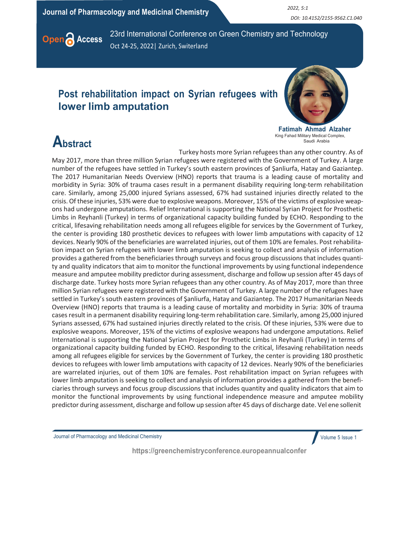Journal of Pharmacology and Medicinal Chemistry **2022, 5:1** 2022, 5:1

DOI: 10.4152/2155-9562.C1.040



Open **A Access** 23rd International Conference on Green Chemistry and Technology Oct 24-25, 2022| Zurich, Switerland

### Post rehabilitation impact on Syrian refugees with lower limb amputation



Fatimah Ahmad Alzaher King Fahad Military Medical Complex, Saudi Arabia

## **Abstract**

Turkey hosts more Syrian refugees than any other country. As of May 2017, more than three million Syrian refugees were registered with the Government of Turkey. A large number of the refugees have settled in Turkey's south eastern provinces of Şanliurfa, Hatay and Gaziantep. The 2017 Humanitarian Needs Overview (HNO) reports that trauma is a leading cause of mortality and morbidity in Syria: 30% of trauma cases result in a permanent disability requiring long-term rehabilitation care. Similarly, among 25,000 injured Syrians assessed, 67% had sustained injuries directly related to the crisis. Of these injuries, 53% were due to explosive weapons. Moreover, 15% of the victims of explosive weapons had undergone amputations. Relief International is supporting the National Syrian Project for Prosthetic Limbs in Reyhanli (Turkey) in terms of organizational capacity building funded by ECHO. Responding to the critical, lifesaving rehabilitation needs among all refugees eligible for services by the Government of Turkey, the center is providing 180 prosthetic devices to refugees with lower limb amputations with capacity of 12 devices. Nearly 90% of the beneficiaries are warrelated injuries, out of them 10% are females. Post rehabilitation impact on Syrian refugees with lower limb amputation is seeking to collect and analysis of information provides a gathered from the beneficiaries through surveys and focus group discussions that includes quantity and quality indicators that aim to monitor the functional improvements by using functional independence measure and amputee mobility predictor during assessment, discharge and follow up session after 45 days of discharge date. Turkey hosts more Syrian refugees than any other country. As of May 2017, more than three million Syrian refugees were registered with the Government of Turkey. A large number of the refugees have settled in Turkey's south eastern provinces of Şanliurfa, Hatay and Gaziantep. The 2017 Humanitarian Needs Overview (HNO) reports that trauma is a leading cause of mortality and morbidity in Syria: 30% of trauma cases result in a permanent disability requiring long-term rehabilitation care. Similarly, among 25,000 injured Syrians assessed, 67% had sustained injuries directly related to the crisis. Of these injuries, 53% were due to explosive weapons. Moreover, 15% of the victims of explosive weapons had undergone amputations. Relief International is supporting the National Syrian Project for Prosthetic Limbs in Reyhanli (Turkey) in terms of organizational capacity building funded by ECHO. Responding to the critical, lifesaving rehabilitation needs among all refugees eligible for services by the Government of Turkey, the center is providing 180 prosthetic devices to refugees with lower limb amputations with capacity of 12 devices. Nearly 90% of the beneficiaries are warrelated injuries, out of them 10% are females. Post rehabilitation impact on Syrian refugees with lower limb amputation is seeking to collect and analysis of information provides a gathered from the beneficiaries through surveys and focus group discussions that includes quantity and quality indicators that aim to monitor the functional improvements by using functional independence measure and amputee mobility predictor during assessment, discharge and follow up session after 45 days of discharge date. Vel ene sollenit

Journal of Pharmacology and Medicinal Chemistry

Volume 5 Issue 1

https://greenchemistryconference.europeannualconfer